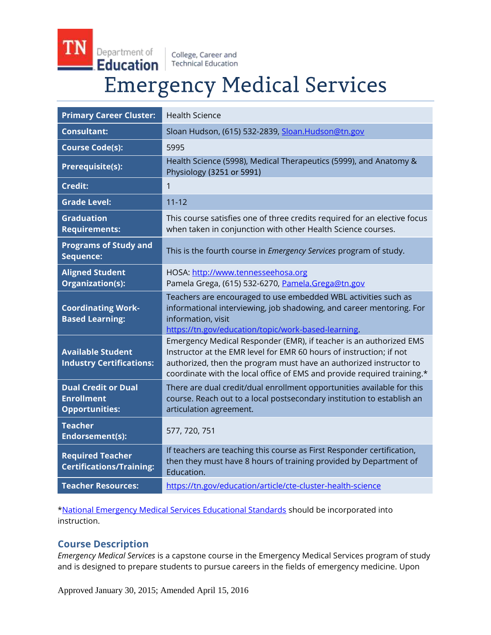Department of Education

College, Career and **Technical Education** 

# **Emergency Medical Services**

| <b>Primary Career Cluster:</b>                                           | <b>Health Science</b>                                                                                                                                                                                                                                                                      |
|--------------------------------------------------------------------------|--------------------------------------------------------------------------------------------------------------------------------------------------------------------------------------------------------------------------------------------------------------------------------------------|
| <b>Consultant:</b>                                                       | Sloan Hudson, (615) 532-2839, Sloan.Hudson@tn.gov                                                                                                                                                                                                                                          |
| <b>Course Code(s):</b>                                                   | 5995                                                                                                                                                                                                                                                                                       |
| <b>Prerequisite(s):</b>                                                  | Health Science (5998), Medical Therapeutics (5999), and Anatomy &<br>Physiology (3251 or 5991)                                                                                                                                                                                             |
| <b>Credit:</b>                                                           | 1                                                                                                                                                                                                                                                                                          |
| <b>Grade Level:</b>                                                      | $11 - 12$                                                                                                                                                                                                                                                                                  |
| <b>Graduation</b><br><b>Requirements:</b>                                | This course satisfies one of three credits required for an elective focus<br>when taken in conjunction with other Health Science courses.                                                                                                                                                  |
| <b>Programs of Study and</b><br>Sequence:                                | This is the fourth course in <i>Emergency Services</i> program of study.                                                                                                                                                                                                                   |
| <b>Aligned Student</b><br>Organization(s):                               | HOSA: http://www.tennesseehosa.org<br>Pamela Grega, (615) 532-6270, Pamela.Grega@tn.gov                                                                                                                                                                                                    |
| <b>Coordinating Work-</b><br><b>Based Learning:</b>                      | Teachers are encouraged to use embedded WBL activities such as<br>informational interviewing, job shadowing, and career mentoring. For<br>information, visit<br>https://tn.gov/education/topic/work-based-learning.                                                                        |
| <b>Available Student</b><br><b>Industry Certifications:</b>              | Emergency Medical Responder (EMR), if teacher is an authorized EMS<br>Instructor at the EMR level for EMR 60 hours of instruction; if not<br>authorized, then the program must have an authorized instructor to<br>coordinate with the local office of EMS and provide required training.* |
| <b>Dual Credit or Dual</b><br><b>Enrollment</b><br><b>Opportunities:</b> | There are dual credit/dual enrollment opportunities available for this<br>course. Reach out to a local postsecondary institution to establish an<br>articulation agreement.                                                                                                                |
| <b>Teacher</b><br><b>Endorsement(s):</b>                                 | 577, 720, 751                                                                                                                                                                                                                                                                              |
| <b>Required Teacher</b><br><b>Certifications/Training:</b>               | If teachers are teaching this course as First Responder certification,<br>then they must have 8 hours of training provided by Department of<br>Education.                                                                                                                                  |
| <b>Teacher Resources:</b>                                                | https://tn.gov/education/article/cte-cluster-health-science                                                                                                                                                                                                                                |

[\\*National Emergency Medical Services Educational Standards](http://www.ems.gov/pdf/811077a.pdf) should be incorporated into instruction.

# **Course Description**

*Emergency Medical Services* is a capstone course in the Emergency Medical Services program of study and is designed to prepare students to pursue careers in the fields of emergency medicine. Upon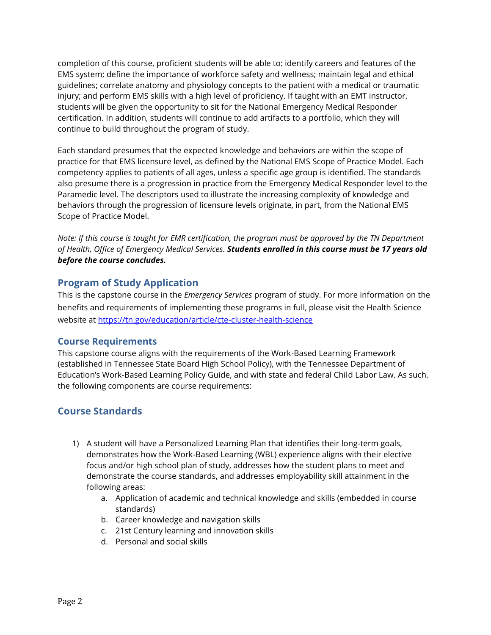completion of this course, proficient students will be able to: identify careers and features of the EMS system; define the importance of workforce safety and wellness; maintain legal and ethical guidelines; correlate anatomy and physiology concepts to the patient with a medical or traumatic injury; and perform EMS skills with a high level of proficiency. If taught with an EMT instructor, students will be given the opportunity to sit for the National Emergency Medical Responder certification. In addition, students will continue to add artifacts to a portfolio, which they will continue to build throughout the program of study.

Each standard presumes that the expected knowledge and behaviors are within the scope of practice for that EMS licensure level, as defined by the National EMS Scope of Practice Model. Each competency applies to patients of all ages, unless a specific age group is identified. The standards also presume there is a progression in practice from the Emergency Medical Responder level to the Paramedic level. The descriptors used to illustrate the increasing complexity of knowledge and behaviors through the progression of licensure levels originate, in part, from the National EMS Scope of Practice Model.

*Note: If this course is taught for EMR certification, the program must be approved by the TN Department of Health, Office of Emergency Medical Services. Students enrolled in this course must be 17 years old before the course concludes.*

## **Program of Study Application**

This is the capstone course in the *Emergency Services* program of study. For more information on the benefits and requirements of implementing these programs in full, please visit the Health Science website at<https://tn.gov/education/article/cte-cluster-health-science>

## **Course Requirements**

This capstone course aligns with the requirements of the Work-Based Learning Framework (established in Tennessee State Board High School Policy), with the Tennessee Department of Education's Work-Based Learning Policy Guide, and with state and federal Child Labor Law. As such, the following components are course requirements:

# **Course Standards**

- 1) A student will have a Personalized Learning Plan that identifies their long-term goals, demonstrates how the Work-Based Learning (WBL) experience aligns with their elective focus and/or high school plan of study, addresses how the student plans to meet and demonstrate the course standards, and addresses employability skill attainment in the following areas:
	- a. Application of academic and technical knowledge and skills (embedded in course standards)
	- b. Career knowledge and navigation skills
	- c. 21st Century learning and innovation skills
	- d. Personal and social skills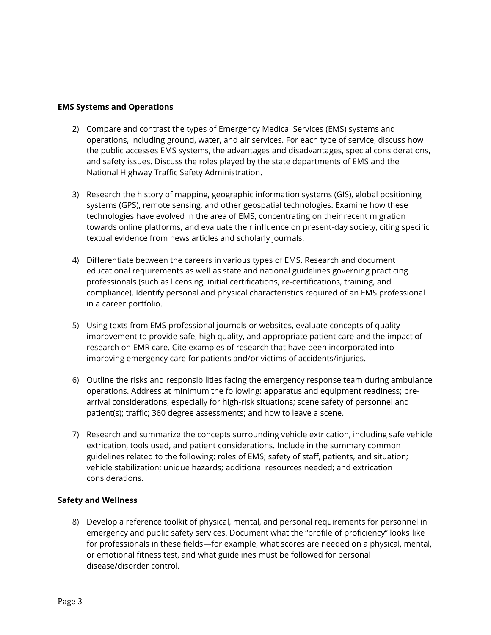#### **EMS Systems and Operations**

- 2) Compare and contrast the types of Emergency Medical Services (EMS) systems and operations, including ground, water, and air services. For each type of service, discuss how the public accesses EMS systems, the advantages and disadvantages, special considerations, and safety issues. Discuss the roles played by the state departments of EMS and the National Highway Traffic Safety Administration.
- 3) Research the history of mapping, geographic information systems (GIS), global positioning systems (GPS), remote sensing, and other geospatial technologies. Examine how these technologies have evolved in the area of EMS, concentrating on their recent migration towards online platforms, and evaluate their influence on present-day society, citing specific textual evidence from news articles and scholarly journals.
- 4) Differentiate between the careers in various types of EMS. Research and document educational requirements as well as state and national guidelines governing practicing professionals (such as licensing, initial certifications, re-certifications, training, and compliance). Identify personal and physical characteristics required of an EMS professional in a career portfolio.
- 5) Using texts from EMS professional journals or websites, evaluate concepts of quality improvement to provide safe, high quality, and appropriate patient care and the impact of research on EMR care. Cite examples of research that have been incorporated into improving emergency care for patients and/or victims of accidents/injuries.
- 6) Outline the risks and responsibilities facing the emergency response team during ambulance operations. Address at minimum the following: apparatus and equipment readiness; prearrival considerations, especially for high-risk situations; scene safety of personnel and patient(s); traffic; 360 degree assessments; and how to leave a scene.
- 7) Research and summarize the concepts surrounding vehicle extrication, including safe vehicle extrication, tools used, and patient considerations. Include in the summary common guidelines related to the following: roles of EMS; safety of staff, patients, and situation; vehicle stabilization; unique hazards; additional resources needed; and extrication considerations.

#### **Safety and Wellness**

8) Develop a reference toolkit of physical, mental, and personal requirements for personnel in emergency and public safety services. Document what the "profile of proficiency" looks like for professionals in these fields—for example, what scores are needed on a physical, mental, or emotional fitness test, and what guidelines must be followed for personal disease/disorder control.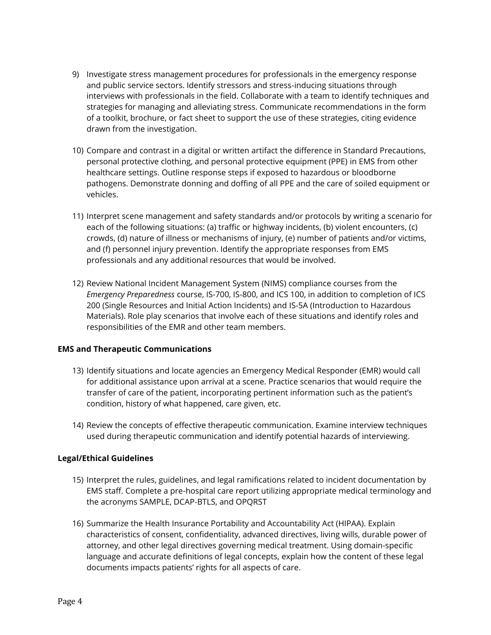- 9) Investigate stress management procedures for professionals in the emergency response and public service sectors. Identify stressors and stress-inducing situations through interviews with professionals in the field. Collaborate with a team to identify techniques and strategies for managing and alleviating stress. Communicate recommendations in the form of a toolkit, brochure, or fact sheet to support the use of these strategies, citing evidence drawn from the investigation.
- 10) Compare and contrast in a digital or written artifact the difference in Standard Precautions, personal protective clothing, and personal protective equipment (PPE) in EMS from other healthcare settings. Outline response steps if exposed to hazardous or bloodborne pathogens. Demonstrate donning and doffing of all PPE and the care of soiled equipment or vehicles.
- 11) Interpret scene management and safety standards and/or protocols by writing a scenario for each of the following situations: (a) traffic or highway incidents, (b) violent encounters, (c) crowds, (d) nature of illness or mechanisms of injury, (e) number of patients and/or victims, and (f) personnel injury prevention. Identify the appropriate responses from EMS professionals and any additional resources that would be involved.
- 12) Review National Incident Management System (NIMS) compliance courses from the *Emergency Preparedness* course, IS-700, IS-800, and ICS 100, in addition to completion of ICS 200 (Single Resources and Initial Action Incidents) and IS-5A (Introduction to Hazardous Materials). Role play scenarios that involve each of these situations and identify roles and responsibilities of the EMR and other team members.

#### **EMS and Therapeutic Communications**

- 13) Identify situations and locate agencies an Emergency Medical Responder (EMR) would call for additional assistance upon arrival at a scene. Practice scenarios that would require the transfer of care of the patient, incorporating pertinent information such as the patient's condition, history of what happened, care given, etc.
- 14) Review the concepts of effective therapeutic communication. Examine interview techniques used during therapeutic communication and identify potential hazards of interviewing.

## **Legal/Ethical Guidelines**

- 15) Interpret the rules, guidelines, and legal ramifications related to incident documentation by EMS staff. Complete a pre-hospital care report utilizing appropriate medical terminology and the acronyms SAMPLE, DCAP-BTLS, and OPQRST
- 16) Summarize the Health Insurance Portability and Accountability Act (HIPAA). Explain characteristics of consent, confidentiality, advanced directives, living wills, durable power of attorney, and other legal directives governing medical treatment. Using domain-specific language and accurate definitions of legal concepts, explain how the content of these legal documents impacts patients' rights for all aspects of care.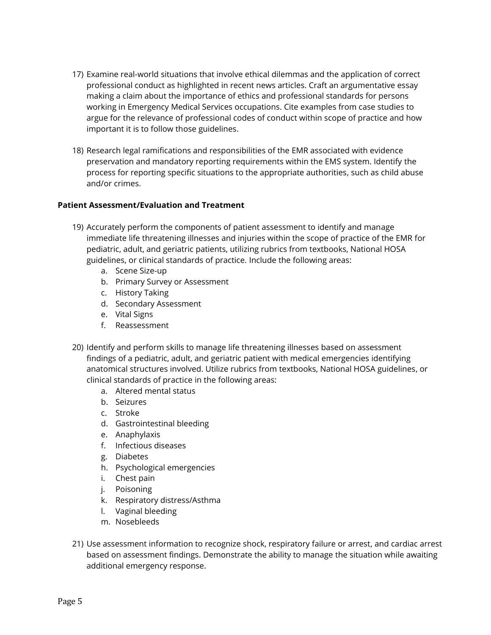- 17) Examine real-world situations that involve ethical dilemmas and the application of correct professional conduct as highlighted in recent news articles. Craft an argumentative essay making a claim about the importance of ethics and professional standards for persons working in Emergency Medical Services occupations. Cite examples from case studies to argue for the relevance of professional codes of conduct within scope of practice and how important it is to follow those guidelines.
- 18) Research legal ramifications and responsibilities of the EMR associated with evidence preservation and mandatory reporting requirements within the EMS system. Identify the process for reporting specific situations to the appropriate authorities, such as child abuse and/or crimes.

#### **Patient Assessment/Evaluation and Treatment**

- 19) Accurately perform the components of patient assessment to identify and manage immediate life threatening illnesses and injuries within the scope of practice of the EMR for pediatric, adult, and geriatric patients, utilizing rubrics from textbooks, National HOSA guidelines, or clinical standards of practice. Include the following areas:
	- a. Scene Size-up
	- b. Primary Survey or Assessment
	- c. History Taking
	- d. Secondary Assessment
	- e. Vital Signs
	- f. Reassessment
- 20) Identify and perform skills to manage life threatening illnesses based on assessment findings of a pediatric, adult, and geriatric patient with medical emergencies identifying anatomical structures involved. Utilize rubrics from textbooks, National HOSA guidelines, or clinical standards of practice in the following areas:
	- a. Altered mental status
	- b. Seizures
	- c. Stroke
	- d. Gastrointestinal bleeding
	- e. Anaphylaxis
	- f. Infectious diseases
	- g. Diabetes
	- h. Psychological emergencies
	- i. Chest pain
	- j. Poisoning
	- k. Respiratory distress/Asthma
	- l. Vaginal bleeding
	- m. Nosebleeds
- 21) Use assessment information to recognize shock, respiratory failure or arrest, and cardiac arrest based on assessment findings. Demonstrate the ability to manage the situation while awaiting additional emergency response.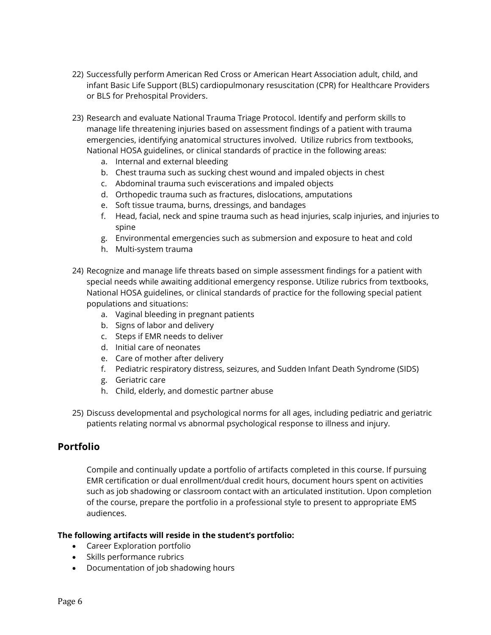- 22) Successfully perform American Red Cross or American Heart Association adult, child, and infant Basic Life Support (BLS) cardiopulmonary resuscitation (CPR) for Healthcare Providers or BLS for Prehospital Providers.
- 23) Research and evaluate National Trauma Triage Protocol. Identify and perform skills to manage life threatening injuries based on assessment findings of a patient with trauma emergencies, identifying anatomical structures involved. Utilize rubrics from textbooks, National HOSA guidelines, or clinical standards of practice in the following areas:
	- a. Internal and external bleeding
	- b. Chest trauma such as sucking chest wound and impaled objects in chest
	- c. Abdominal trauma such eviscerations and impaled objects
	- d. Orthopedic trauma such as fractures, dislocations, amputations
	- e. Soft tissue trauma, burns, dressings, and bandages
	- f. Head, facial, neck and spine trauma such as head injuries, scalp injuries, and injuries to spine
	- g. Environmental emergencies such as submersion and exposure to heat and cold
	- h. Multi-system trauma
- 24) Recognize and manage life threats based on simple assessment findings for a patient with special needs while awaiting additional emergency response. Utilize rubrics from textbooks, National HOSA guidelines, or clinical standards of practice for the following special patient populations and situations:
	- a. Vaginal bleeding in pregnant patients
	- b. Signs of labor and delivery
	- c. Steps if EMR needs to deliver
	- d. Initial care of neonates
	- e. Care of mother after delivery
	- f. Pediatric respiratory distress, seizures, and Sudden Infant Death Syndrome (SIDS)
	- g. Geriatric care
	- h. Child, elderly, and domestic partner abuse
- 25) Discuss developmental and psychological norms for all ages, including pediatric and geriatric patients relating normal vs abnormal psychological response to illness and injury.

## **Portfolio**

Compile and continually update a portfolio of artifacts completed in this course. If pursuing EMR certification or dual enrollment/dual credit hours, document hours spent on activities such as job shadowing or classroom contact with an articulated institution. Upon completion of the course, prepare the portfolio in a professional style to present to appropriate EMS audiences.

## **The following artifacts will reside in the student's portfolio:**

- Career Exploration portfolio
- Skills performance rubrics
- Documentation of job shadowing hours